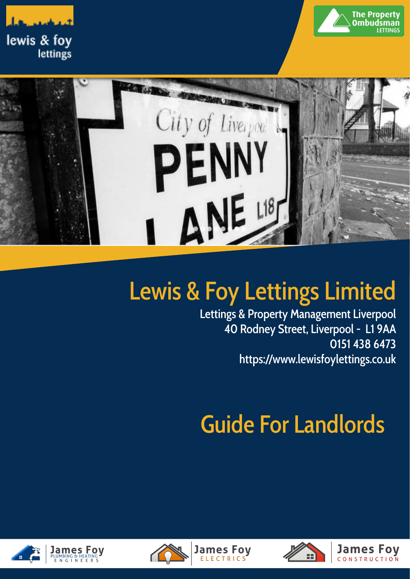





# Lewis & Foy Lettings Limited

Lettings & Property Management Liverpool 40 Rodney Street, Liverpool - L1 9AA 0151 438 6473 [https://www.lewisfoylettings.co.uk](http://www.jamesfoyplumbing.co.uk)

# Guide For Landlords





**James Foy** 

**FIFCTRICS** 

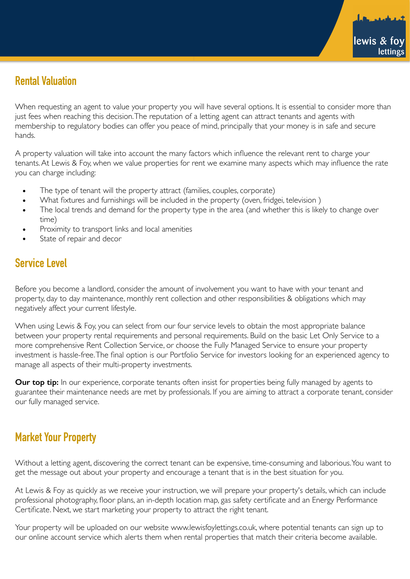## **Rental Valuation**

When requesting an agent to value your property you will have several options. It is essential to consider more than just fees when reaching this decision. The reputation of a letting agent can attract tenants and agents with membership to regulatory bodies can offer you peace of mind, principally that your money is in safe and secure hands.

A property valuation will take into account the many factors which influence the relevant rent to charge your tenants. At Lewis & Foy, when we value properties for rent we examine many aspects which may influence the rate you can charge including:

- The type of tenant will the property attract (families, couples, corporate)
- What fixtures and furnishings will be included in the property (oven, fridgei, television )
- The local trends and demand for the property type in the area (and whether this is likely to change over time)
- Proximity to transport links and local amenities
- State of repair and decor

## **Service Level**

Before you become a landlord, consider the amount of involvement you want to have with your tenant and property, day to day maintenance, monthly rent collection and other responsibilities & obligations which may negatively affect your current lifestyle.

When using Lewis & Foy, you can select from our four service levels to obtain the most appropriate balance between your property rental requirements and personal requirements. Build on the basic Let Only Service to a more comprehensive Rent Collection Service, or choose the Fully Managed Service to ensure your property investment is hassle-free. The final option is our Portfolio Service for investors looking for an experienced agency to manage all aspects of their multi-property investments.

**Our top tip:** In our experience, corporate tenants often insist for properties being fully managed by agents to guarantee their maintenance needs are met by professionals. If you are aiming to attract a corporate tenant, consider our fully managed service.

## **Market Your Property**

Without a letting agent, discovering the correct tenant can be expensive, time-consuming and laborious. You want to get the message out about your property and encourage a tenant that is in the best situation for you.

At Lewis & Foy as quickly as we receive your instruction, we will prepare your property's details, which can include professional photography, floor plans, an in-depth location map, gas safety certificate and an Energy Performance Certificate. Next, we start marketing your property to attract the right tenant.

Your property will be uploaded on our website www.lewisfoylettings.co.uk, where potential tenants can sign up to our online account service which alerts them when rental properties that match their criteria become available.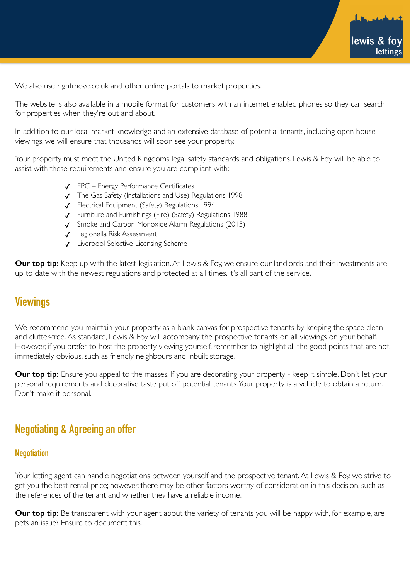

We also use rightmove.co.uk and other online portals to market properties.

The website is also available in a mobile format for customers with an internet enabled phones so they can search for properties when they're out and about.

In addition to our local market knowledge and an extensive database of potential tenants, including open house viewings, we will ensure that thousands will soon see your property.

Your property must meet the United Kingdoms legal safety standards and obligations. Lewis & Foy will be able to assist with these requirements and ensure you are compliant with:

- ✓ EPC Energy Performance Certificates
- ✓ The Gas Safety (Installations and Use) Regulations 1998
- ✓ Electrical Equipment (Safety) Regulations 1994
- ✓ Furniture and Furnishings (Fire) (Safety) Regulations 1988
- ✓ Smoke and Carbon Monoxide Alarm Regulations (2015)
- ✓ Legionella Risk Assessment
- ✓ Liverpool Selective Licensing Scheme

**Our top tip:** Keep up with the latest legislation. At Lewis & Foy, we ensure our landlords and their investments are up to date with the newest regulations and protected at all times. It's all part of the service.

## **Viewings**

We recommend you maintain your property as a blank canvas for prospective tenants by keeping the space clean and clutter-free. As standard, Lewis & Foy will accompany the prospective tenants on all viewings on your behalf. However, if you prefer to host the property viewing yourself, remember to highlight all the good points that are not immediately obvious, such as friendly neighbours and inbuilt storage.

**Our top tip:** Ensure you appeal to the masses. If you are decorating your property - keep it simple. Don't let your personal requirements and decorative taste put off potential tenants. Your property is a vehicle to obtain a return. Don't make it personal.

## **Negotiating & Agreeing an offer**

#### **Negotiation**

Your letting agent can handle negotiations between yourself and the prospective tenant. At Lewis & Foy, we strive to get you the best rental price; however, there may be other factors worthy of consideration in this decision, such as the references of the tenant and whether they have a reliable income.

**Our top tip:** Be transparent with your agent about the variety of tenants you will be happy with, for example, are pets an issue? Ensure to document this.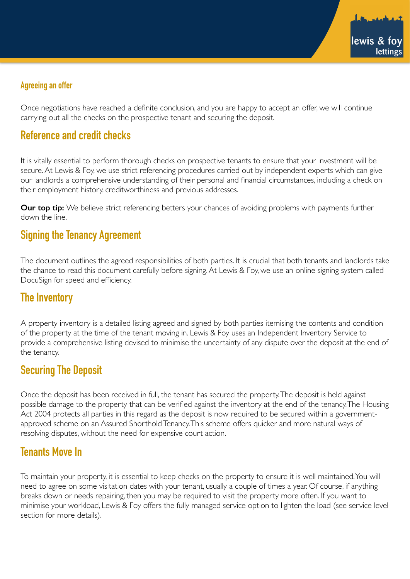

### **Agreeing an offer**

Once negotiations have reached a definite conclusion, and you are happy to accept an offer, we will continue carrying out all the checks on the prospective tenant and securing the deposit.

## **Reference and credit checks**

It is vitally essential to perform thorough checks on prospective tenants to ensure that your investment will be secure. At Lewis & Foy, we use strict referencing procedures carried out by independent experts which can give our landlords a comprehensive understanding of their personal and financial circumstances, including a check on their employment history, creditworthiness and previous addresses.

**Our top tip:** We believe strict referencing betters your chances of avoiding problems with payments further down the line.

## **Signing the Tenancy Agreement**

The document outlines the agreed responsibilities of both parties. It is crucial that both tenants and landlords take the chance to read this document carefully before signing. At Lewis & Foy, we use an online signing system called DocuSign for speed and efficiency.

### **The Inventory**

A property inventory is a detailed listing agreed and signed by both parties itemising the contents and condition of the property at the time of the tenant moving in. Lewis & Foy uses an Independent Inventory Service to provide a comprehensive listing devised to minimise the uncertainty of any dispute over the deposit at the end of the tenancy.

## **Securing The Deposit**

Once the deposit has been received in full, the tenant has secured the property. The deposit is held against possible damage to the property that can be verified against the inventory at the end of the tenancy. The Housing Act 2004 protects all parties in this regard as the deposit is now required to be secured within a governmentapproved scheme on an Assured Shorthold Tenancy. This scheme offers quicker and more natural ways of resolving disputes, without the need for expensive court action.

## **Tenants Move In**

To maintain your property, it is essential to keep checks on the property to ensure it is well maintained. You will need to agree on some visitation dates with your tenant, usually a couple of times a year. Of course, if anything breaks down or needs repairing, then you may be required to visit the property more often. If you want to minimise your workload, Lewis & Foy offers the fully managed service option to lighten the load (see service level section for more details).